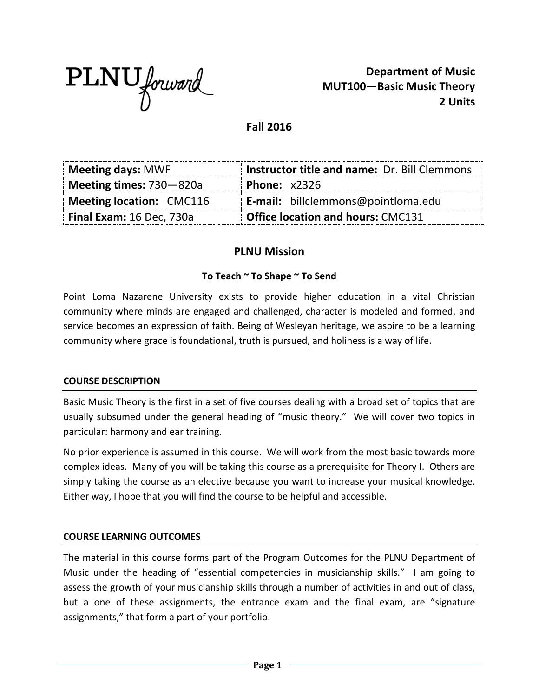

**Department of Music MUT100—Basic Music Theory 2 Units**

**Fall 2016**

| Meeting days: MWF           | <b>Instructor title and name: Dr. Bill Clemmons</b> |
|-----------------------------|-----------------------------------------------------|
| Meeting times: $730 - 820a$ | <b>Phone: x2326</b>                                 |
| Meeting location: CMC116    | <b>E-mail:</b> billclemmons@pointloma.edu           |
| Final Exam: 16 Dec, 730a    | <b>Office location and hours: CMC131</b>            |

# **PLNU Mission**

### **To Teach ~ To Shape ~ To Send**

Point Loma Nazarene University exists to provide higher education in a vital Christian community where minds are engaged and challenged, character is modeled and formed, and service becomes an expression of faith. Being of Wesleyan heritage, we aspire to be a learning community where grace is foundational, truth is pursued, and holiness is a way of life.

#### **COURSE DESCRIPTION**

Basic Music Theory is the first in a set of five courses dealing with a broad set of topics that are usually subsumed under the general heading of "music theory." We will cover two topics in particular: harmony and ear training.

No prior experience is assumed in this course. We will work from the most basic towards more complex ideas. Many of you will be taking this course as a prerequisite for Theory I. Others are simply taking the course as an elective because you want to increase your musical knowledge. Either way, I hope that you will find the course to be helpful and accessible.

### **COURSE LEARNING OUTCOMES**

The material in this course forms part of the Program Outcomes for the PLNU Department of Music under the heading of "essential competencies in musicianship skills." I am going to assess the growth of your musicianship skills through a number of activities in and out of class, but a one of these assignments, the entrance exam and the final exam, are "signature assignments," that form a part of your portfolio.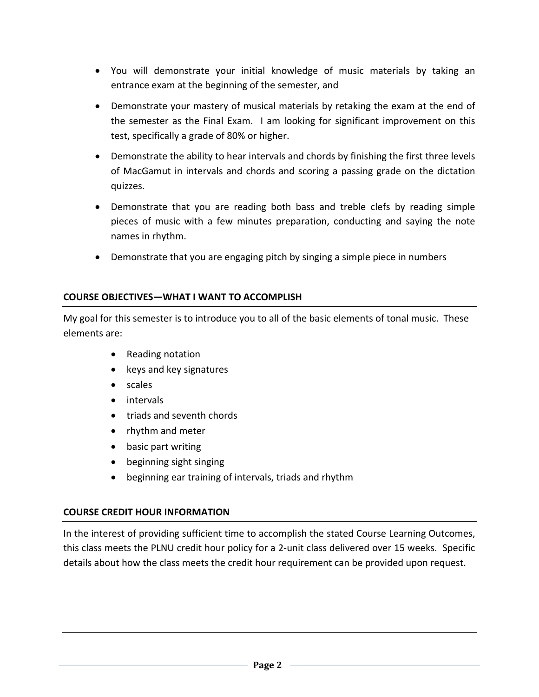- You will demonstrate your initial knowledge of music materials by taking an entrance exam at the beginning of the semester, and
- Demonstrate your mastery of musical materials by retaking the exam at the end of the semester as the Final Exam. I am looking for significant improvement on this test, specifically a grade of 80% or higher.
- Demonstrate the ability to hear intervals and chords by finishing the first three levels of MacGamut in intervals and chords and scoring a passing grade on the dictation quizzes.
- Demonstrate that you are reading both bass and treble clefs by reading simple pieces of music with a few minutes preparation, conducting and saying the note names in rhythm.
- Demonstrate that you are engaging pitch by singing a simple piece in numbers

# **COURSE OBJECTIVES—WHAT I WANT TO ACCOMPLISH**

My goal for this semester is to introduce you to all of the basic elements of tonal music. These elements are:

- Reading notation
- keys and key signatures
- scales
- intervals
- triads and seventh chords
- rhythm and meter
- basic part writing
- beginning sight singing
- beginning ear training of intervals, triads and rhythm

# **COURSE CREDIT HOUR INFORMATION**

In the interest of providing sufficient time to accomplish the stated Course Learning Outcomes, this class meets the PLNU credit hour policy for a 2-unit class delivered over 15 weeks. Specific details about how the class meets the credit hour requirement can be provided upon request.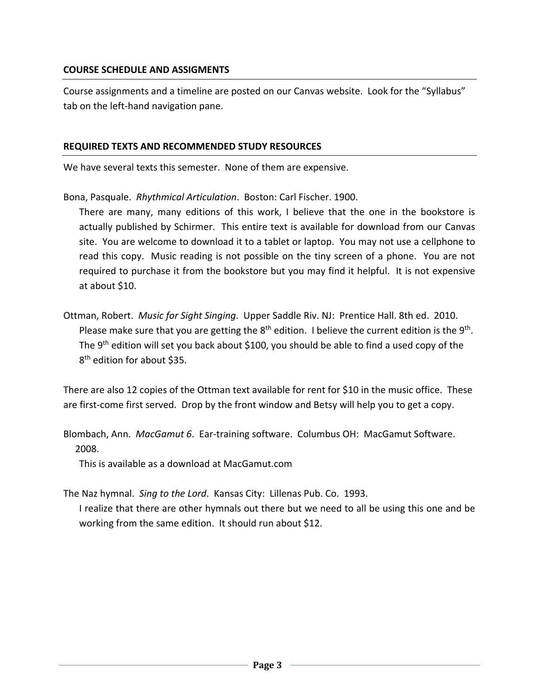### **COURSE SCHEDULE AND ASSIGMENTS**

Course assignments and a timeline are posted on our Canvas website. Look for the "Syllabus" tab on the left-hand navigation pane.

#### **REQUIRED TEXTS AND RECOMMENDED STUDY RESOURCES**

We have several texts this semester. None of them are expensive.

Bona, Pasquale. *Rhythmical Articulation*. Boston: Carl Fischer. 1900.

There are many, many editions of this work, I believe that the one in the bookstore is actually published by Schirmer. This entire text is available for download from our Canvas site. You are welcome to download it to a tablet or laptop. You may not use a cellphone to read this copy. Music reading is not possible on the tiny screen of a phone. You are not required to purchase it from the bookstore but you may find it helpful. It is not expensive at about \$10.

Ottman, Robert. *Music for Sight Singing*. Upper Saddle Riv. NJ: Prentice Hall. 8th ed. 2010. Please make sure that you are getting the  $8<sup>th</sup>$  edition. I believe the current edition is the  $9<sup>th</sup>$ . The 9<sup>th</sup> edition will set you back about \$100, you should be able to find a used copy of the 8<sup>th</sup> edition for about \$35.

There are also 12 copies of the Ottman text available for rent for \$10 in the music office. These are first-come first served. Drop by the front window and Betsy will help you to get a copy.

Blombach, Ann. *MacGamut 6*. Ear-training software. Columbus OH: MacGamut Software. 2008.

This is available as a download at MacGamut.com

The Naz hymnal. *Sing to the Lord*. Kansas City: Lillenas Pub. Co. 1993. I realize that there are other hymnals out there but we need to all be using this one and be working from the same edition. It should run about \$12.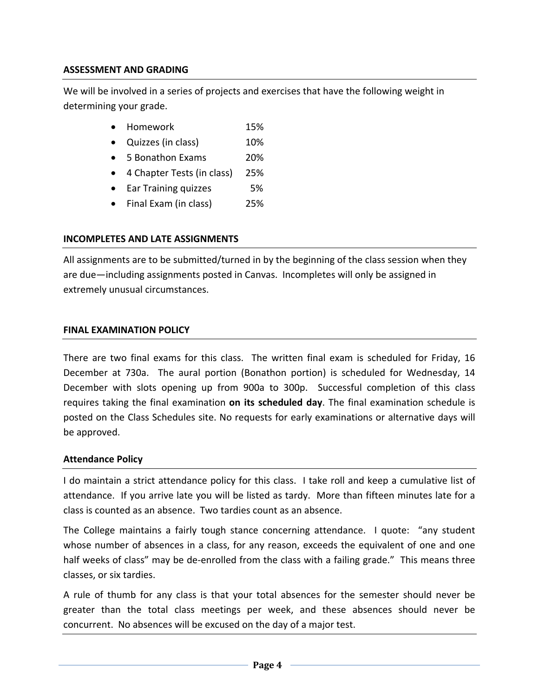### **ASSESSMENT AND GRADING**

We will be involved in a series of projects and exercises that have the following weight in determining your grade.

- Homework 15%
- Quizzes (in class) 10%
- 5 Bonathon Exams 20%
- 4 Chapter Tests (in class) 25%
- Ear Training quizzes 5%
- Final Exam (in class) 25%

### **INCOMPLETES AND LATE ASSIGNMENTS**

All assignments are to be submitted/turned in by the beginning of the class session when they are due—including assignments posted in Canvas. Incompletes will only be assigned in extremely unusual circumstances.

#### **FINAL EXAMINATION POLICY**

There are two final exams for this class. The written final exam is scheduled for Friday, 16 December at 730a. The aural portion (Bonathon portion) is scheduled for Wednesday, 14 December with slots opening up from 900a to 300p. Successful completion of this class requires taking the final examination **on its scheduled day**. The final examination schedule is posted on the Class Schedules site. No requests for early examinations or alternative days will be approved.

#### **Attendance Policy**

I do maintain a strict attendance policy for this class. I take roll and keep a cumulative list of attendance. If you arrive late you will be listed as tardy. More than fifteen minutes late for a class is counted as an absence. Two tardies count as an absence.

The College maintains a fairly tough stance concerning attendance. I quote: "any student whose number of absences in a class, for any reason, exceeds the equivalent of one and one half weeks of class" may be de-enrolled from the class with a failing grade." This means three classes, or six tardies.

A rule of thumb for any class is that your total absences for the semester should never be greater than the total class meetings per week, and these absences should never be concurrent. No absences will be excused on the day of a major test.